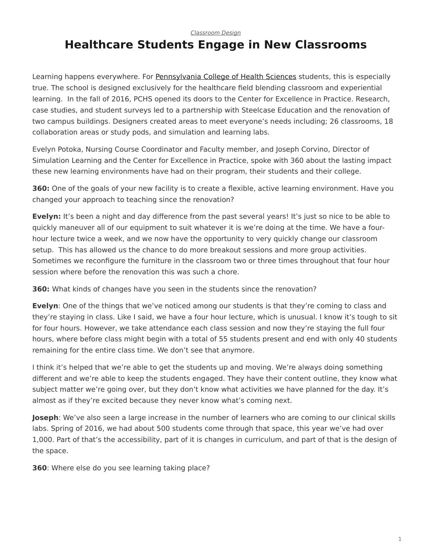## *[Classroom Design](https://www.steelcase.com/research/topics/classroom-design/)*

## <span id="page-0-0"></span>**Healthcare Students Engage in New Classrooms**

Learning happens everywhere. For [Pennsylvania College of Health Sciences](http://www.pacollege.edu/) students, this is especially true. The school is designed exclusively for the healthcare field blending classroom and experiential learning. In the fall of 2016, PCHS opened its doors to the Center for Excellence in Practice. Research, case studies, and student surveys led to a partnership with Steelcase Education and the renovation of two campus buildings. Designers created areas to meet everyone's needs including; 26 classrooms, 18 collaboration areas or study pods, and simulation and learning labs.

Evelyn Potoka, Nursing Course Coordinator and Faculty member, and Joseph Corvino, Director of Simulation Learning and the Center for Excellence in Practice, spoke with 360 about the lasting impact these new learning environments have had on their program, their students and their college.

**360:** One of the goals of your new facility is to create a flexible, active learning environment. Have you changed your approach to teaching since the renovation?

**Evelyn:** It's been a night and day difference from the past several years! It's just so nice to be able to quickly maneuver all of our equipment to suit whatever it is we're doing at the time. We have a fourhour lecture twice a week, and we now have the opportunity to very quickly change our classroom setup. This has allowed us the chance to do more breakout sessions and more group activities. Sometimes we reconfigure the furniture in the classroom two or three times throughout that four hour session where before the renovation this was such a chore.

**360:** What kinds of changes have you seen in the students since the renovation?

**Evelyn**: One of the things that we've noticed among our students is that they're coming to class and they're staying in class. Like I said, we have a four hour lecture, which is unusual. I know it's tough to sit for four hours. However, we take attendance each class session and now they're staying the full four hours, where before class might begin with a total of 55 students present and end with only 40 students remaining for the entire class time. We don't see that anymore.

I think it's helped that we're able to get the students up and moving. We're always doing something different and we're able to keep the students engaged. They have their content outline, they know what subject matter we're going over, but they don't know what activities we have planned for the day. It's almost as if they're excited because they never know what's coming next.

**Joseph**: We've also seen a large increase in the number of learners who are coming to our clinical skills labs. Spring of 2016, we had about 500 students come through that space, this year we've had over 1,000. Part of that's the accessibility, part of it is changes in curriculum, and part of that is the design of the space.

**360**: Where else do you see learning taking place?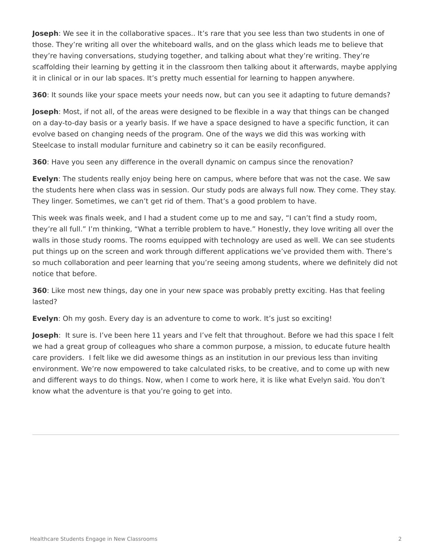**Joseph**: We see it in the collaborative spaces.. It's rare that you see less than two students in one of those. They're writing all over the whiteboard walls, and on the glass which leads me to believe that they're having conversations, studying together, and talking about what they're writing. They're scaffolding their learning by getting it in the classroom then talking about it afterwards, maybe applying it in clinical or in our lab spaces. It's pretty much essential for learning to happen anywhere.

**360**: It sounds like your space meets your needs now, but can you see it adapting to future demands?

**Joseph**: Most, if not all, of the areas were designed to be flexible in a way that things can be changed on a day-to-day basis or a yearly basis. If we have a space designed to have a specific function, it can evolve based on changing needs of the program. One of the ways we did this was working with Steelcase to install modular furniture and cabinetry so it can be easily reconfigured.

**360**: Have you seen any difference in the overall dynamic on campus since the renovation?

**Evelyn**: The students really enjoy being here on campus, where before that was not the case. We saw the students here when class was in session. Our study pods are always full now. They come. They stay. They linger. Sometimes, we can't get rid of them. That's a good problem to have.

This week was finals week, and I had a student come up to me and say, "I can't find a study room, they're all full." I'm thinking, "What a terrible problem to have." Honestly, they love writing all over the walls in those study rooms. The rooms equipped with technology are used as well. We can see students put things up on the screen and work through different applications we've provided them with. There's so much collaboration and peer learning that you're seeing among students, where we definitely did not notice that before.

**360**: Like most new things, day one in your new space was probably pretty exciting. Has that feeling lasted?

**Evelyn**: Oh my gosh. Every day is an adventure to come to work. It's just so exciting!

**Joseph**: It sure is. I've been here 11 years and I've felt that throughout. Before we had this space I felt we had a great group of colleagues who share a common purpose, a mission, to educate future health care providers. I felt like we did awesome things as an institution in our previous less than inviting environment. We're now empowered to take calculated risks, to be creative, and to come up with new and different ways to do things. Now, when I come to work here, it is like what Evelyn said. You don't know what the adventure is that you're going to get into.